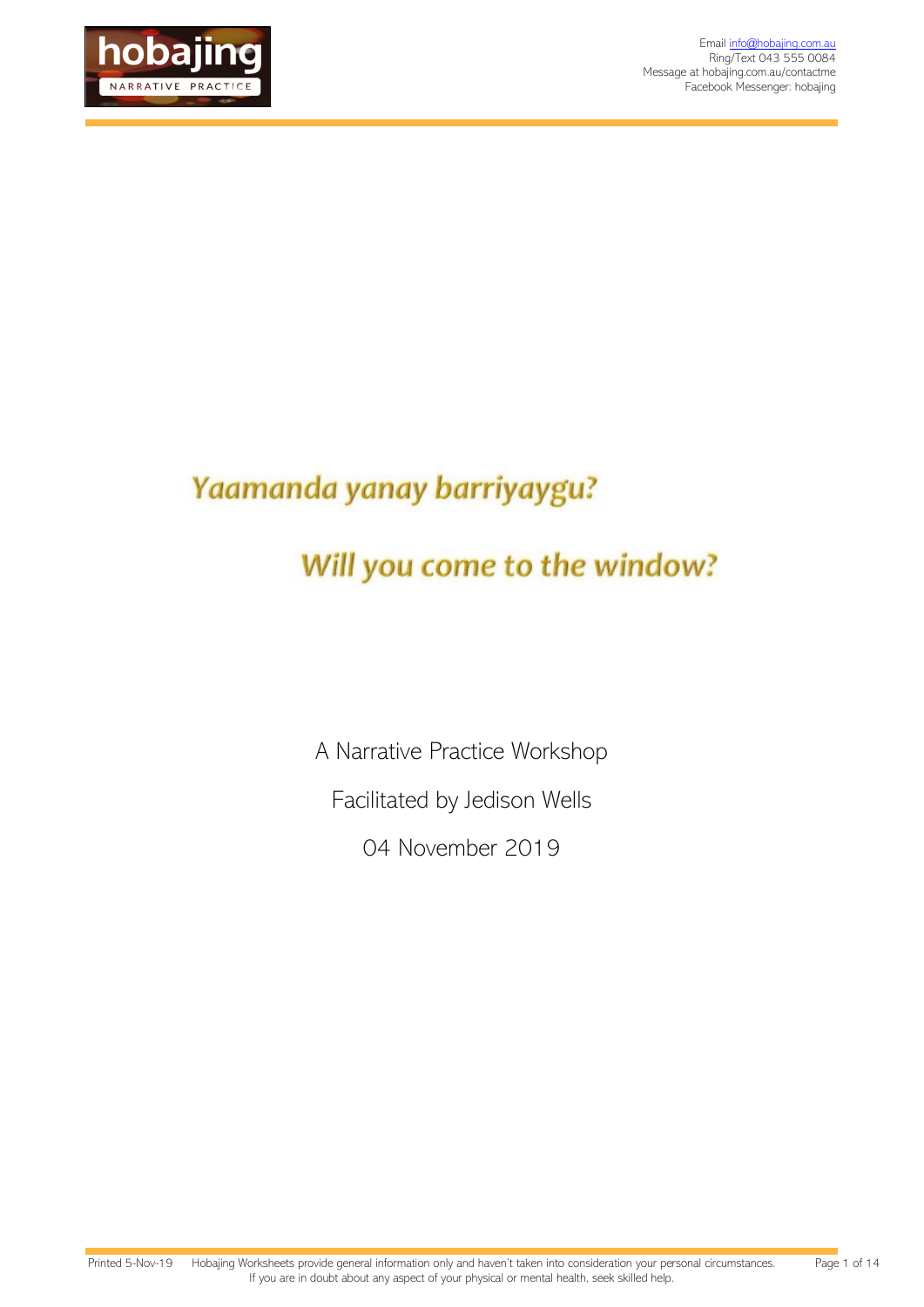

# Yaamanda yanay barriyaygu?

# Will you come to the window?

A Narrative Practice Workshop

Facilitated by Jedison Wells

04 November 2019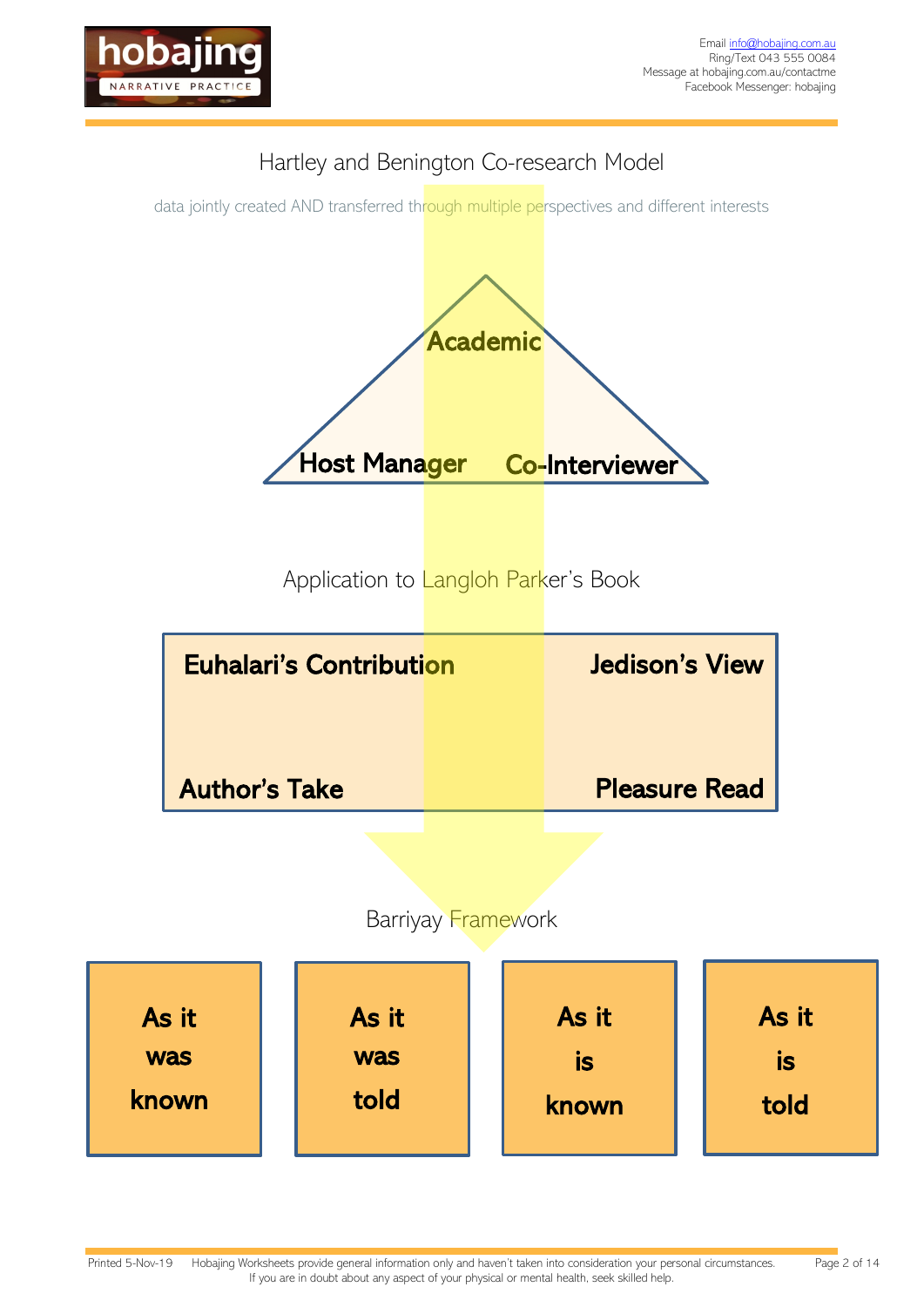

# Hartley and Benington Co-research Model

data jointly created AND transferred through multiple perspectives and different interests



Application to Langloh Parker's Book





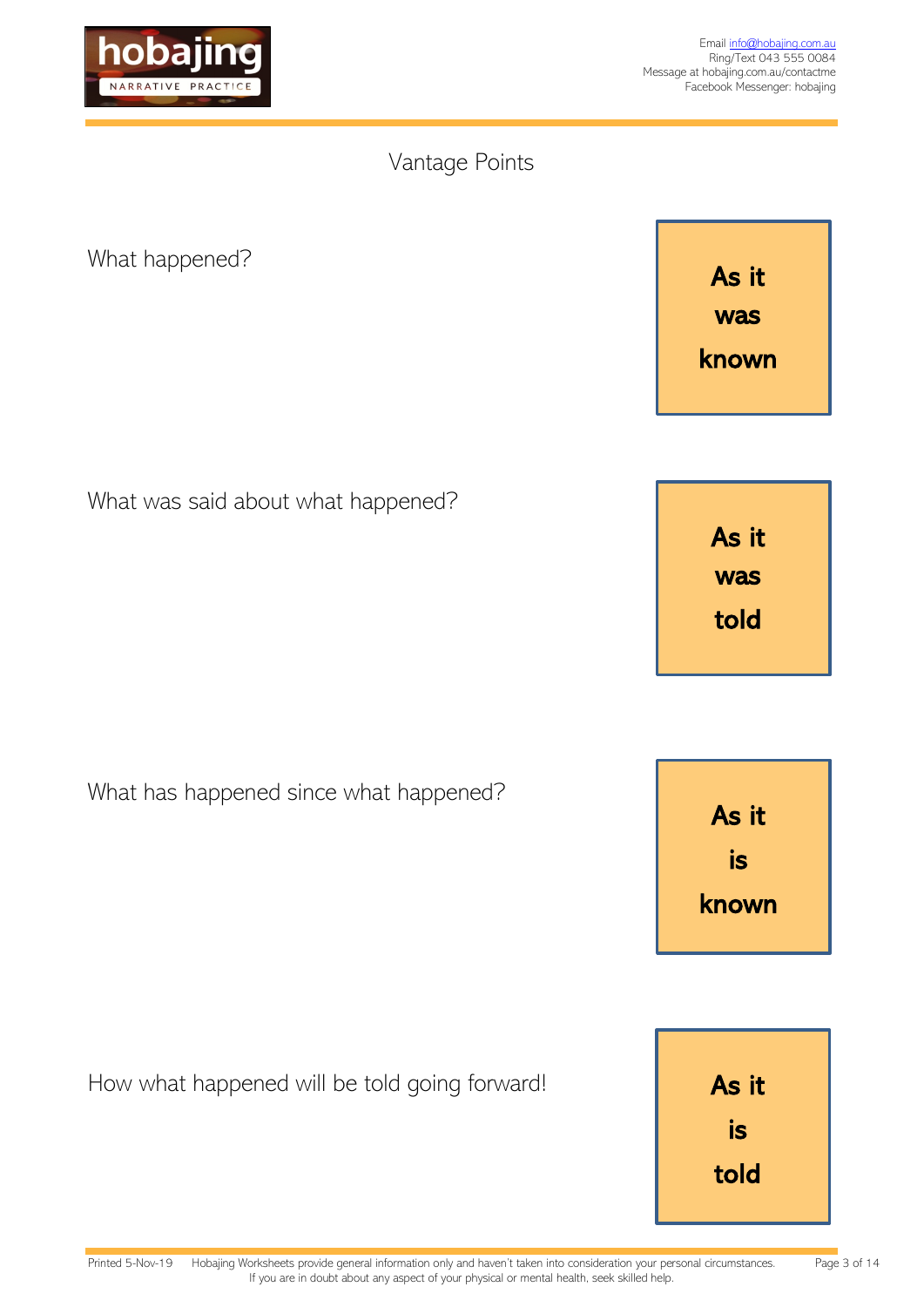

### Vantage Points

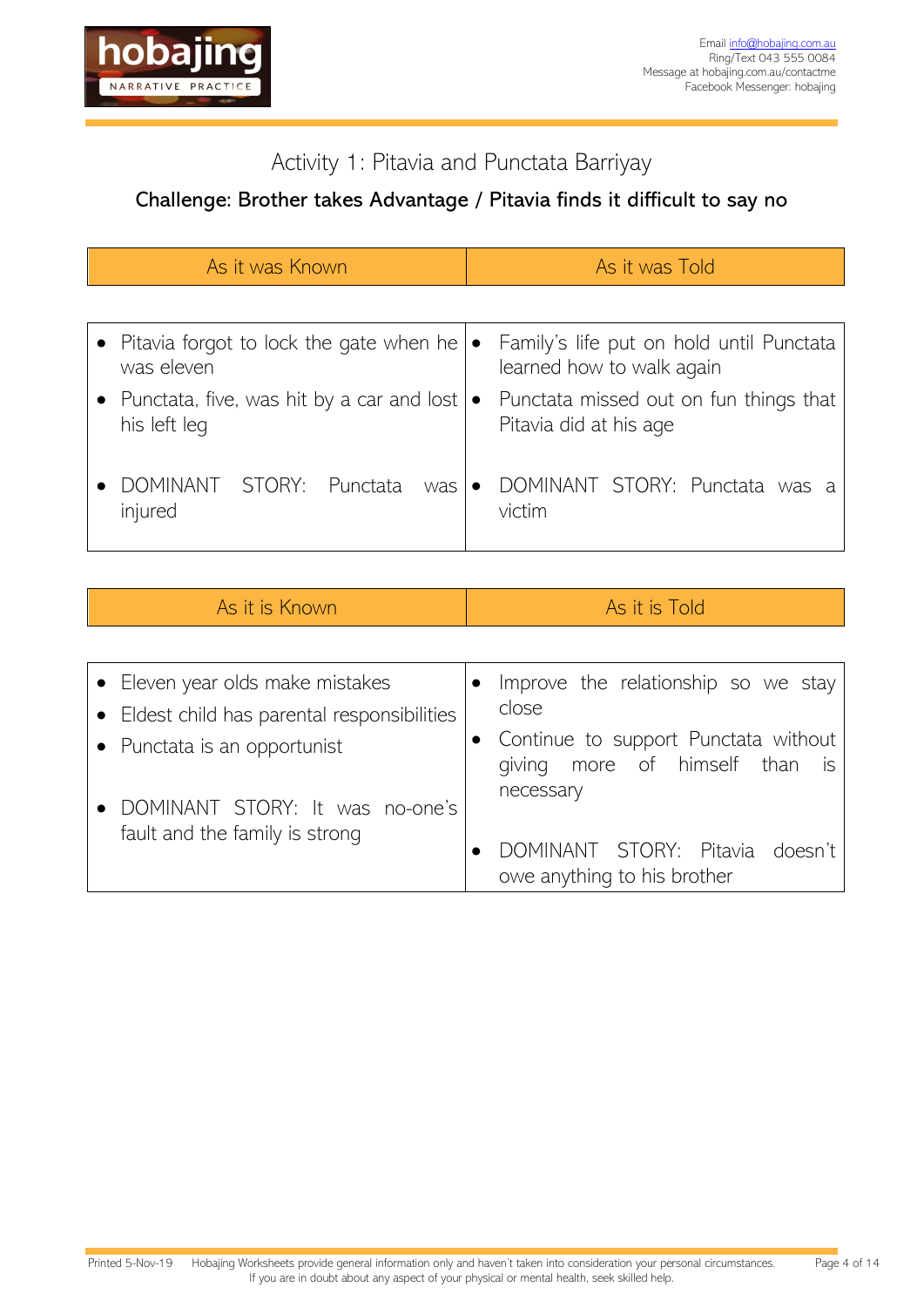

# Activity 1: Pitavia and Punctata Barriyay

#### Challenge: Brother takes Advantage / Pitavia finds it difficult to say no

| As it was Known                                             | As it was Told                                                                     |
|-------------------------------------------------------------|------------------------------------------------------------------------------------|
|                                                             |                                                                                    |
| • Pitavia forgot to lock the gate when he<br>was eleven     | Family's life put on hold until Punctata<br>$\bullet$<br>learned how to walk again |
| • Punctata, five, was hit by a car and lost<br>his left leg | Punctata missed out on fun things that<br>$\bullet$<br>Pitavia did at his age      |
| DOMINANT<br>STORY:<br>Punctata<br>was<br>injured            | DOMINANT STORY: Punctata was a<br>victim                                           |

| As it is Known                                                                                                   | As it is Told                                                                        |
|------------------------------------------------------------------------------------------------------------------|--------------------------------------------------------------------------------------|
|                                                                                                                  |                                                                                      |
| • Eleven year olds make mistakes<br>• Eldest child has parental responsibilities<br>• Punctata is an opportunist | Improve the relationship so we stay<br>close<br>Continue to support Punctata without |
| DOMINANT STORY: It was no-one's                                                                                  | more of himself than is<br>qiving<br>necessary                                       |
| fault and the family is strong                                                                                   | DOMINANT STORY: Pitavia doesn't<br>owe anything to his brother                       |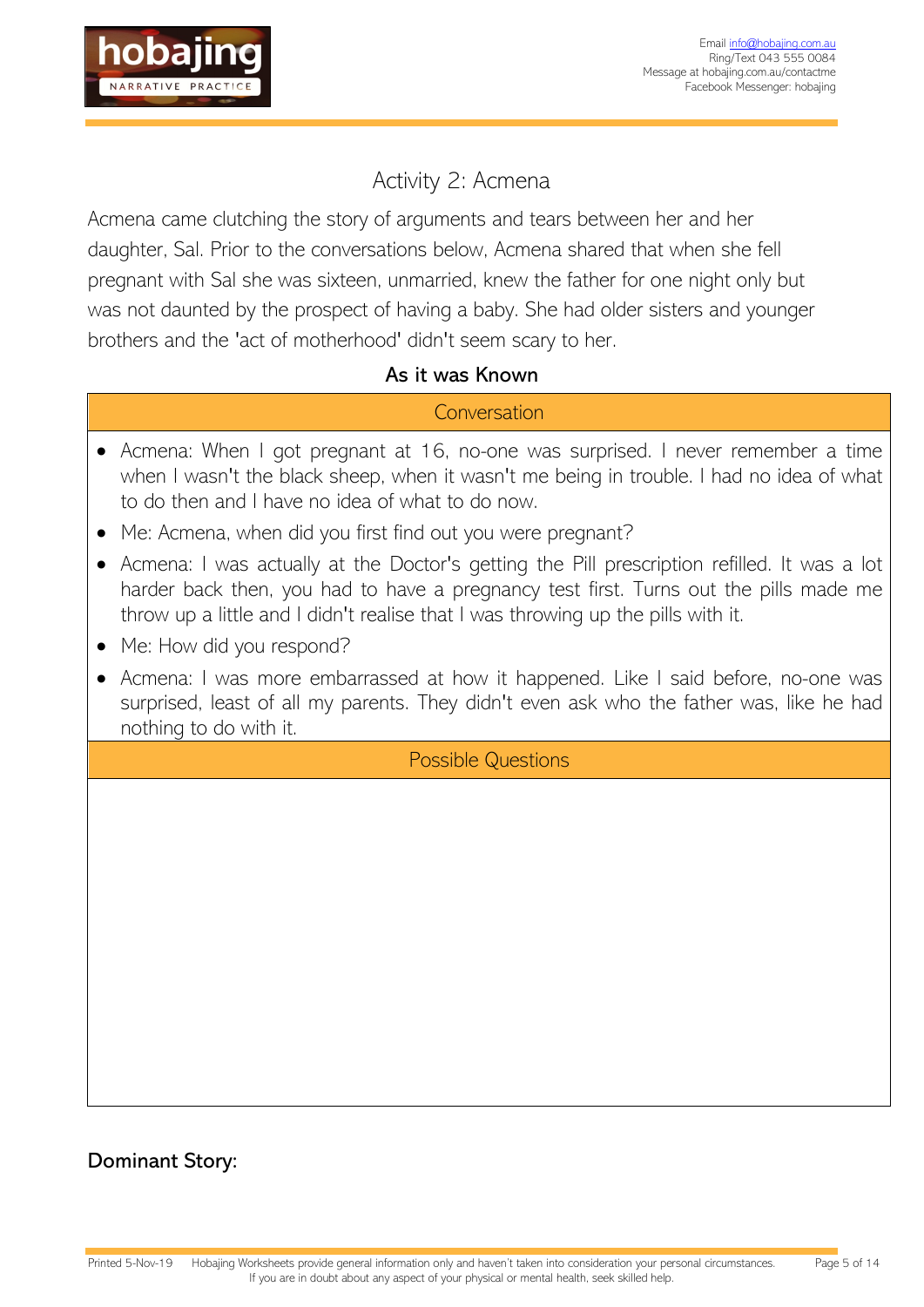

Acmena came clutching the story of arguments and tears between her and her daughter, Sal. Prior to the conversations below, Acmena shared that when she fell pregnant with Sal she was sixteen, unmarried, knew the father for one night only but was not daunted by the prospect of having a baby. She had older sisters and younger brothers and the 'act of motherhood' didn't seem scary to her.

#### As it was Known

#### Conversation

- Acmena: When I got pregnant at 16, no-one was surprised. I never remember a time when I wasn't the black sheep, when it wasn't me being in trouble. I had no idea of what to do then and I have no idea of what to do now.
- Me: Acmena, when did you first find out you were pregnant?
- Acmena: I was actually at the Doctor's getting the Pill prescription refilled. It was a lot harder back then, you had to have a pregnancy test first. Turns out the pills made me throw up a little and I didn't realise that I was throwing up the pills with it.
- Me: How did you respond?
- Acmena: I was more embarrassed at how it happened. Like I said before, no-one was surprised, least of all my parents. They didn't even ask who the father was, like he had nothing to do with it.

Possible Questions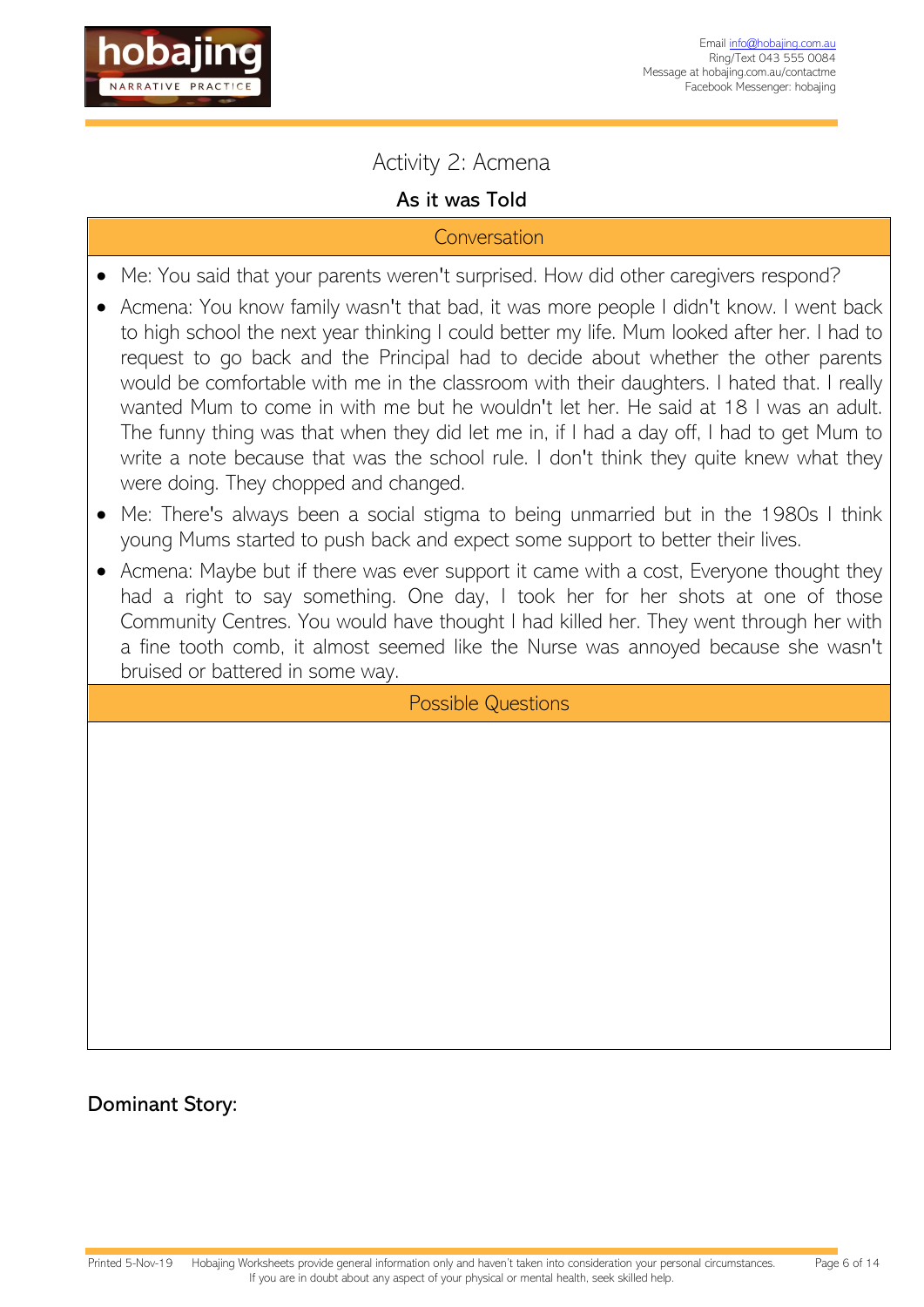

#### As it was Told

#### Conversation

- Me: You said that your parents weren't surprised. How did other caregivers respond?
- Acmena: You know family wasn't that bad, it was more people I didn't know. I went back to high school the next year thinking I could better my life. Mum looked after her. I had to request to go back and the Principal had to decide about whether the other parents would be comfortable with me in the classroom with their daughters. I hated that. I really wanted Mum to come in with me but he wouldn't let her. He said at 18 I was an adult. The funny thing was that when they did let me in, if I had a day off, I had to get Mum to write a note because that was the school rule. I don't think they quite knew what they were doing. They chopped and changed.
- Me: There's always been a social stigma to being unmarried but in the 1980s I think young Mums started to push back and expect some support to better their lives.
- Acmena: Maybe but if there was ever support it came with a cost, Everyone thought they had a right to say something. One day, I took her for her shots at one of those Community Centres. You would have thought I had killed her. They went through her with a fine tooth comb, it almost seemed like the Nurse was annoyed because she wasn't bruised or battered in some way.

Possible Questions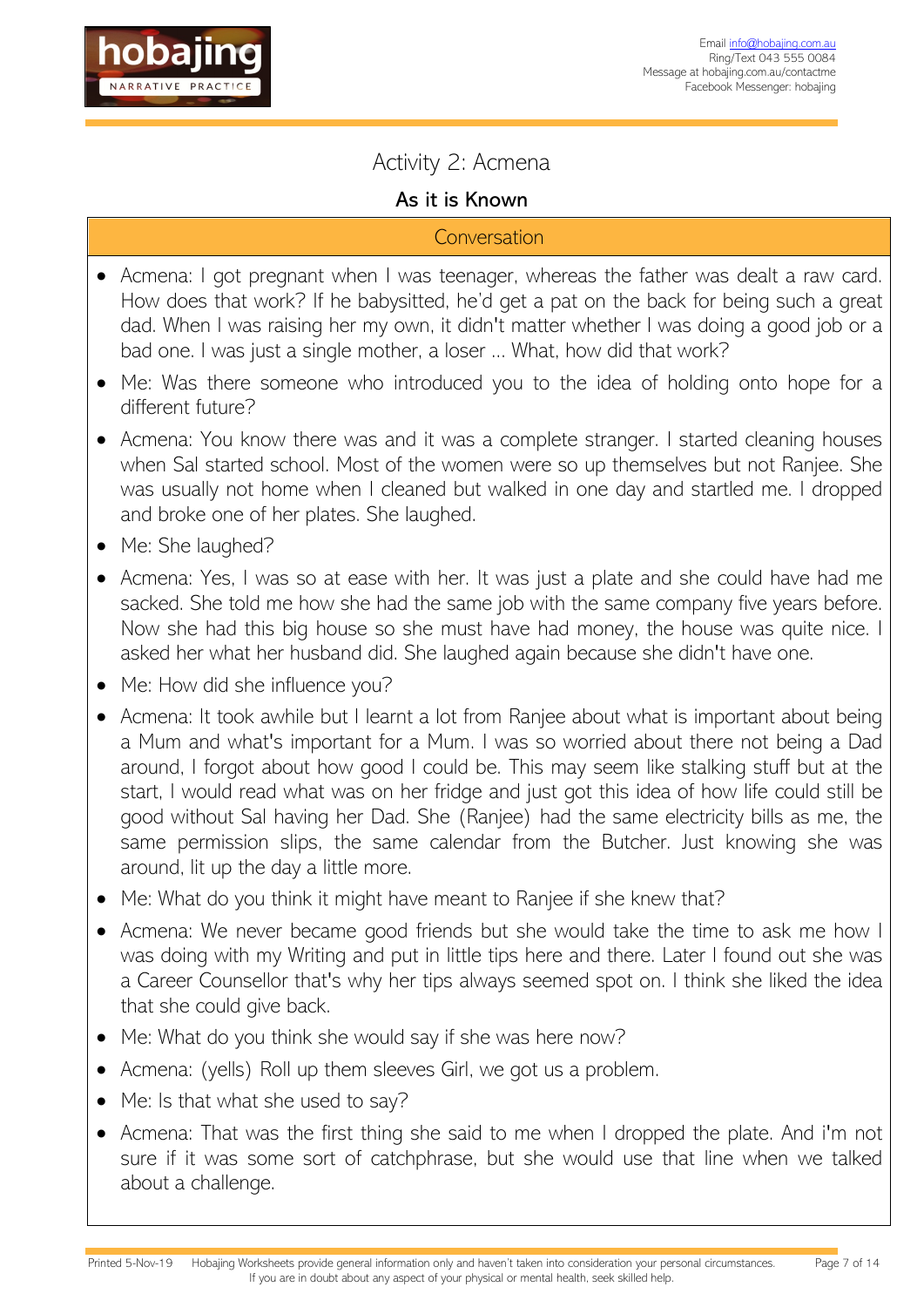

#### As it is Known

#### Conversation

- Acmena: I got pregnant when I was teenager, whereas the father was dealt a raw card. How does that work? If he babysitted, he'd get a pat on the back for being such a great dad. When I was raising her my own, it didn't matter whether I was doing a good job or a bad one. I was just a single mother, a loser ... What, how did that work?
- Me: Was there someone who introduced you to the idea of holding onto hope for a different future?
- Acmena: You know there was and it was a complete stranger. I started cleaning houses when Sal started school. Most of the women were so up themselves but not Ranjee. She was usually not home when I cleaned but walked in one day and startled me. I dropped and broke one of her plates. She laughed.
- Me: She laughed?
- Acmena: Yes, I was so at ease with her. It was just a plate and she could have had me sacked. She told me how she had the same job with the same company five years before. Now she had this big house so she must have had money, the house was quite nice. I asked her what her husband did. She laughed again because she didn't have one.
- Me: How did she influence you?
- Acmena: It took awhile but I learnt a lot from Ranjee about what is important about being a Mum and what's important for a Mum. I was so worried about there not being a Dad around, I forgot about how good I could be. This may seem like stalking stuff but at the start, I would read what was on her fridge and just got this idea of how life could still be good without Sal having her Dad. She (Ranjee) had the same electricity bills as me, the same permission slips, the same calendar from the Butcher. Just knowing she was around, lit up the day a little more.
- Me: What do you think it might have meant to Ranjee if she knew that?
- Acmena: We never became good friends but she would take the time to ask me how I was doing with my Writing and put in little tips here and there. Later I found out she was a Career Counsellor that's why her tips always seemed spot on. I think she liked the idea that she could give back.
- Me: What do you think she would say if she was here now?
- Acmena: (yells) Roll up them sleeves Girl, we got us a problem.
- Me: Is that what she used to say?
- Acmena: That was the first thing she said to me when I dropped the plate. And i'm not sure if it was some sort of catchphrase, but she would use that line when we talked about a challenge.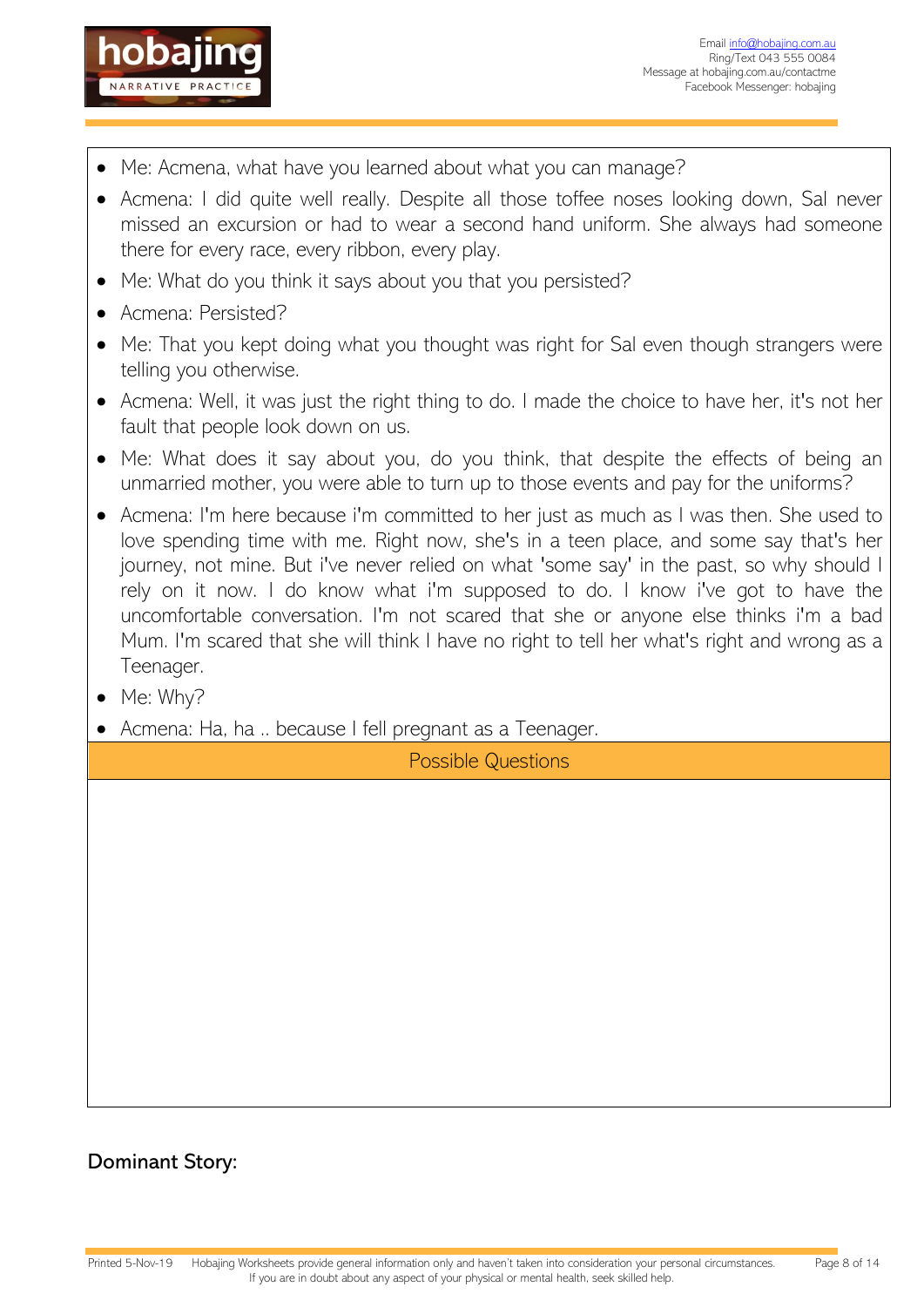- Me: Acmena, what have you learned about what you can manage?
- Acmena: I did quite well really. Despite all those toffee noses looking down, Sal never missed an excursion or had to wear a second hand uniform. She always had someone there for every race, every ribbon, every play.
- Me: What do you think it says about you that you persisted?
- Acmena: Persisted?

hobajiı

NARRATIVE PR

- Me: That you kept doing what you thought was right for Sal even though strangers were telling you otherwise.
- Acmena: Well, it was just the right thing to do. I made the choice to have her, it's not her fault that people look down on us.
- Me: What does it say about you, do you think, that despite the effects of being an unmarried mother, you were able to turn up to those events and pay for the uniforms?
- Acmena: I'm here because i'm committed to her just as much as I was then. She used to love spending time with me. Right now, she's in a teen place, and some say that's her journey, not mine. But i've never relied on what 'some say' in the past, so why should I rely on it now. I do know what i'm supposed to do. I know i've got to have the uncomfortable conversation. I'm not scared that she or anyone else thinks i'm a bad Mum. I'm scared that she will think I have no right to tell her what's right and wrong as a Teenager.
- Me: Why?
- Acmena: Ha, ha .. because I fell pregnant as a Teenager.

Possible Questions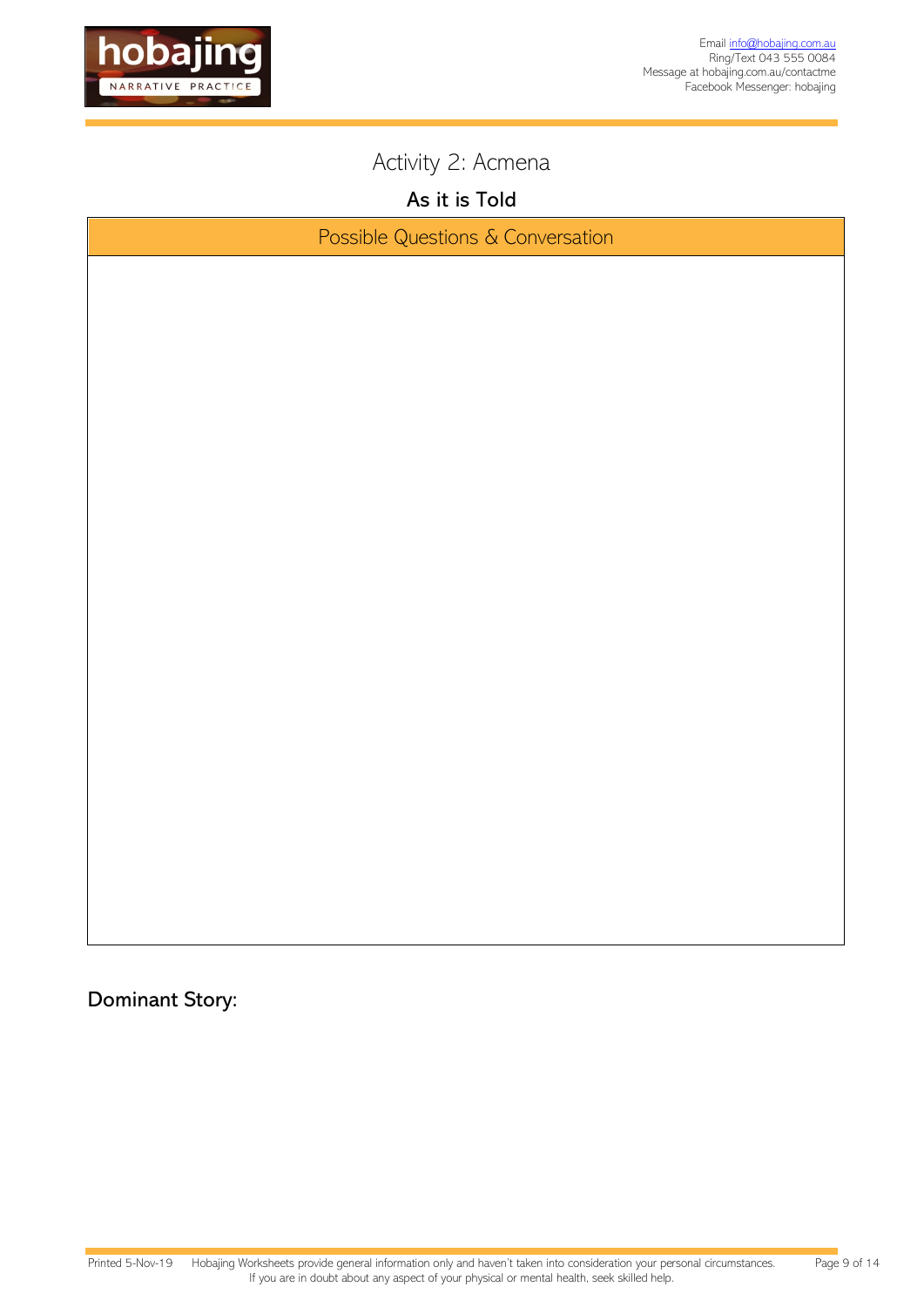

As it is Told

Possible Questions & Conversation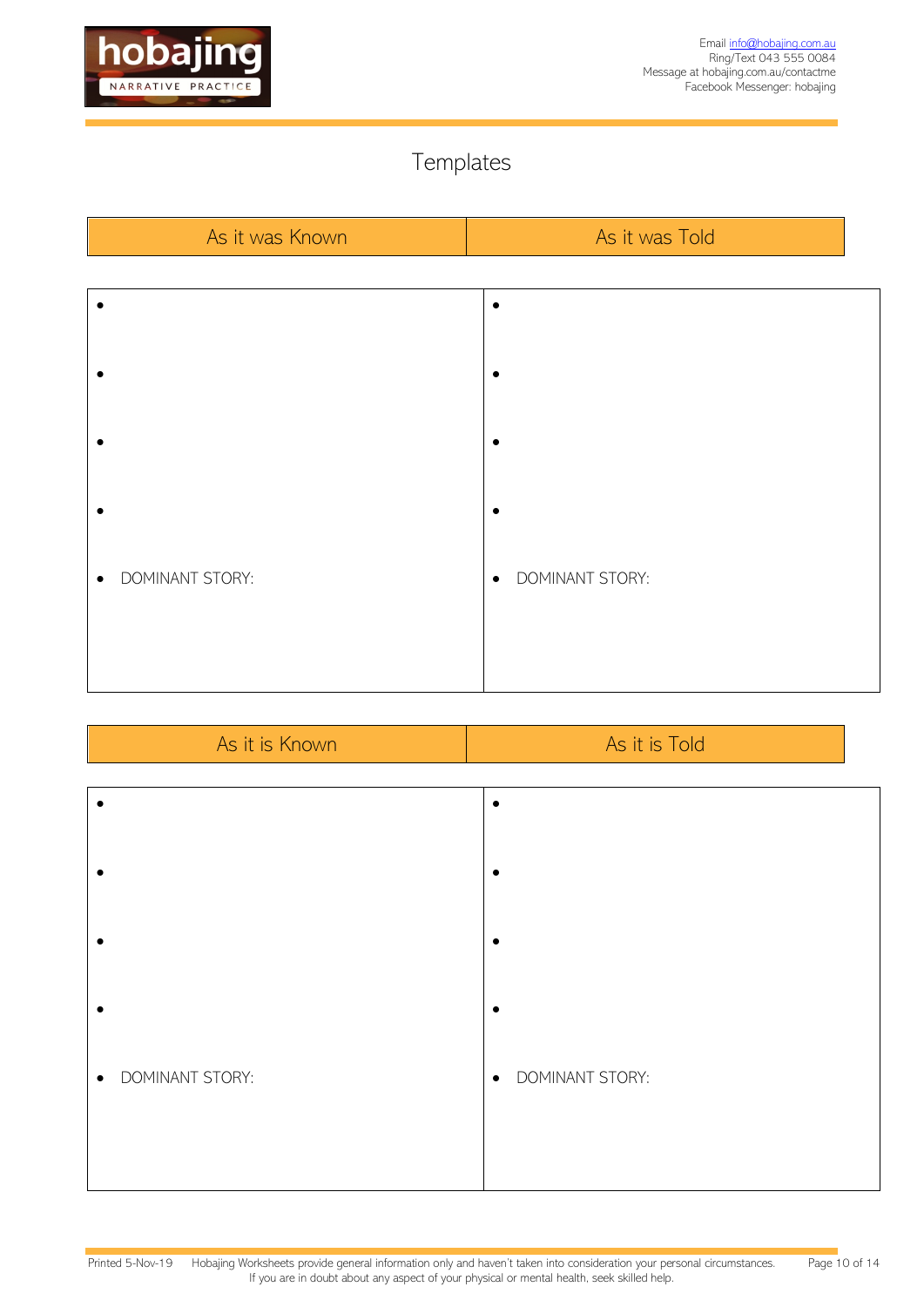

# Templates

| As it was Known              | As it was Told                      |
|------------------------------|-------------------------------------|
|                              |                                     |
|                              | $\bullet$                           |
|                              |                                     |
|                              |                                     |
|                              |                                     |
|                              |                                     |
|                              |                                     |
|                              |                                     |
| DOMINANT STORY:<br>$\bullet$ | <b>DOMINANT STORY:</b><br>$\bullet$ |
|                              |                                     |
|                              |                                     |

| As it is Known                      | As it is Told                |
|-------------------------------------|------------------------------|
|                                     | $\bullet$                    |
|                                     | $\bullet$                    |
|                                     | $\bullet$                    |
|                                     | $\bullet$                    |
| <b>DOMINANT STORY:</b><br>$\bullet$ | DOMINANT STORY:<br>$\bullet$ |
|                                     |                              |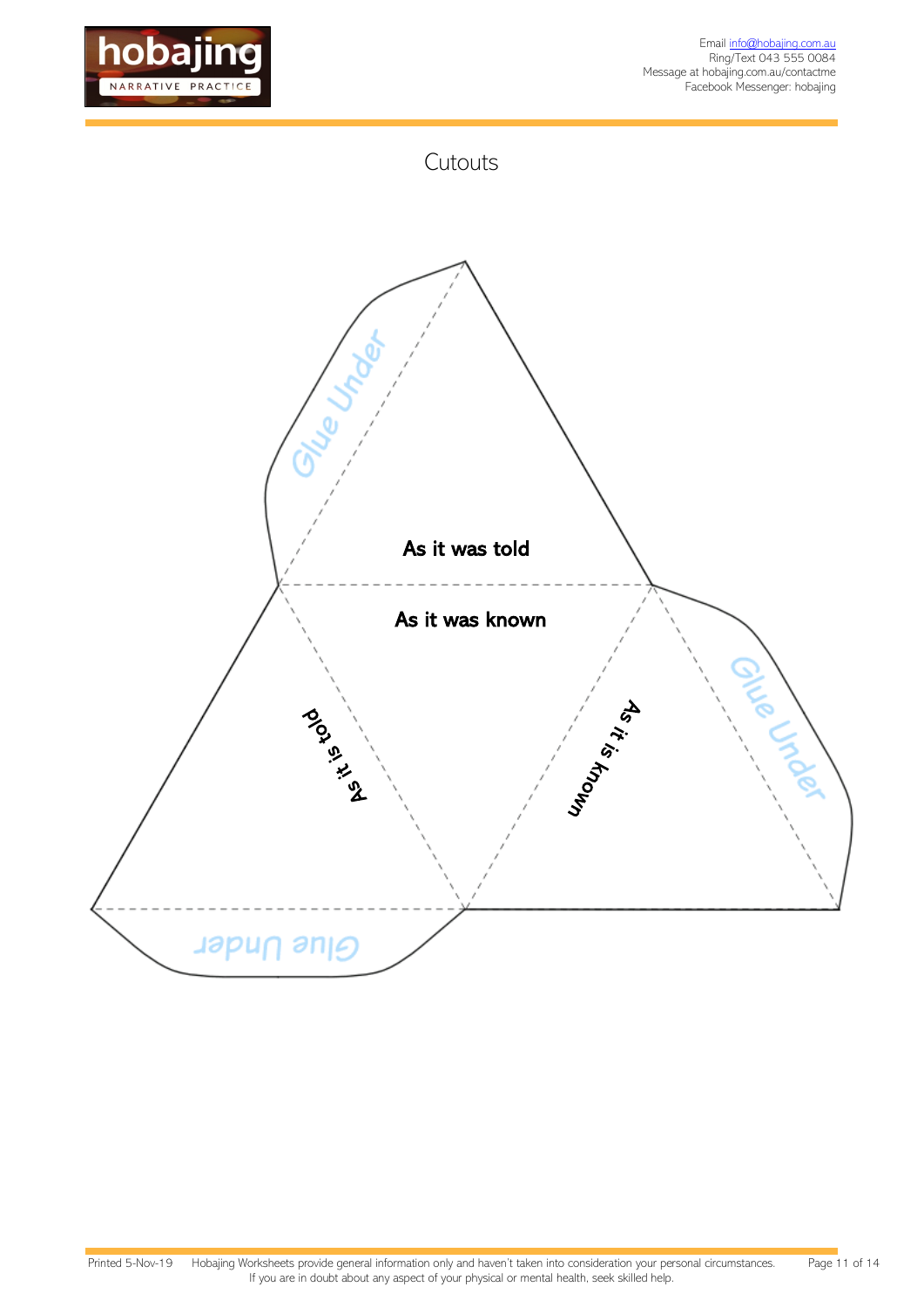

**Cutouts** 

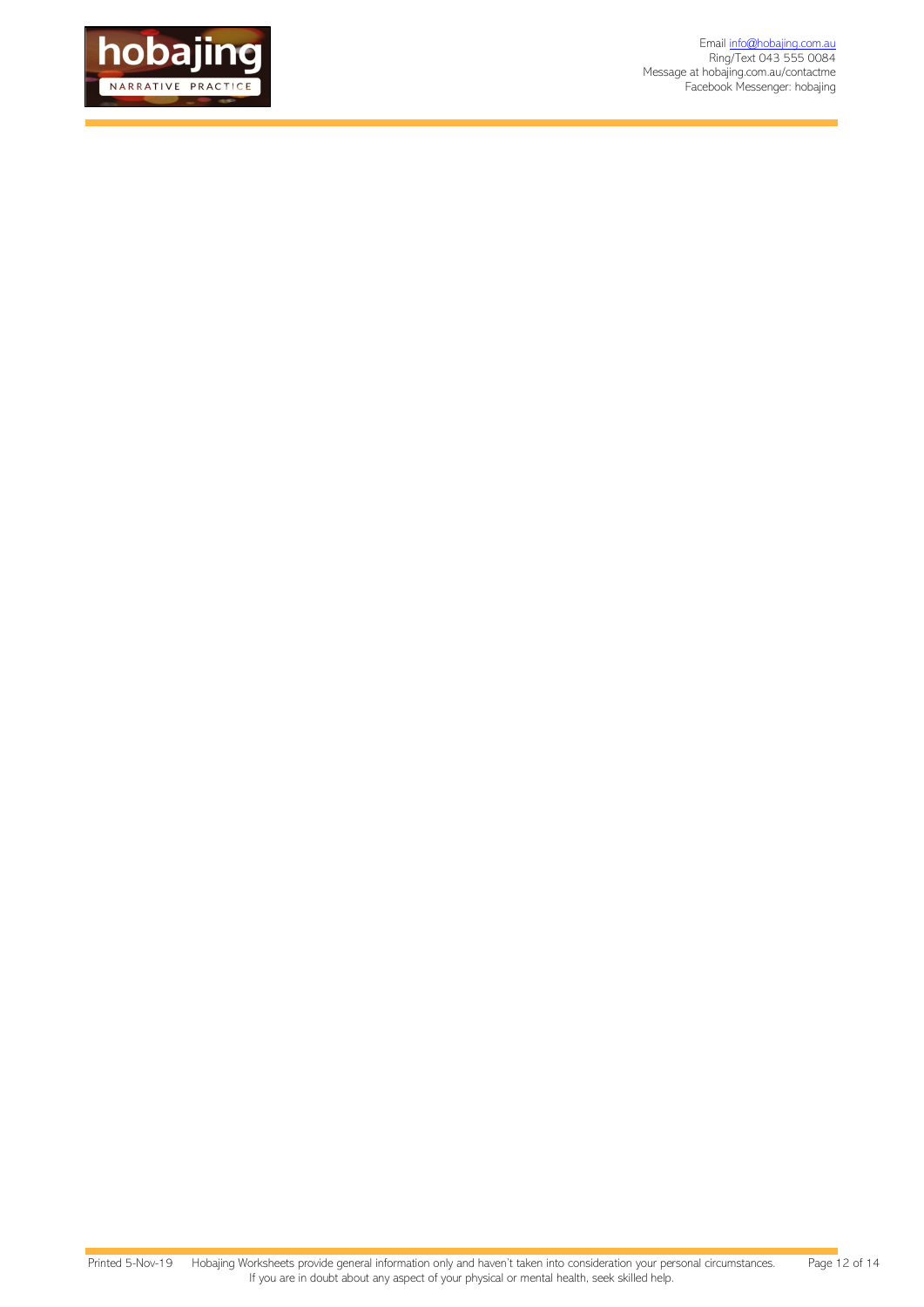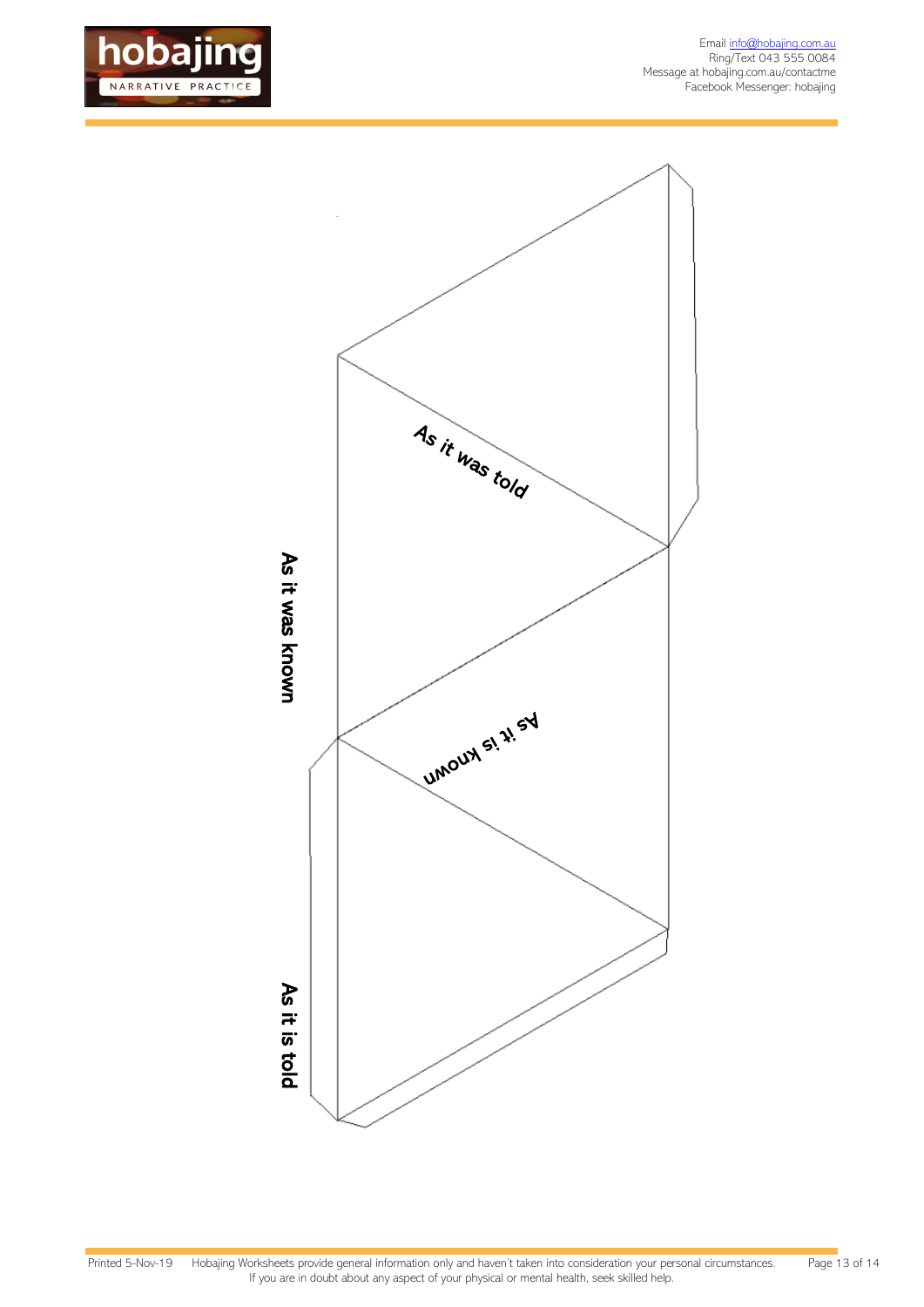